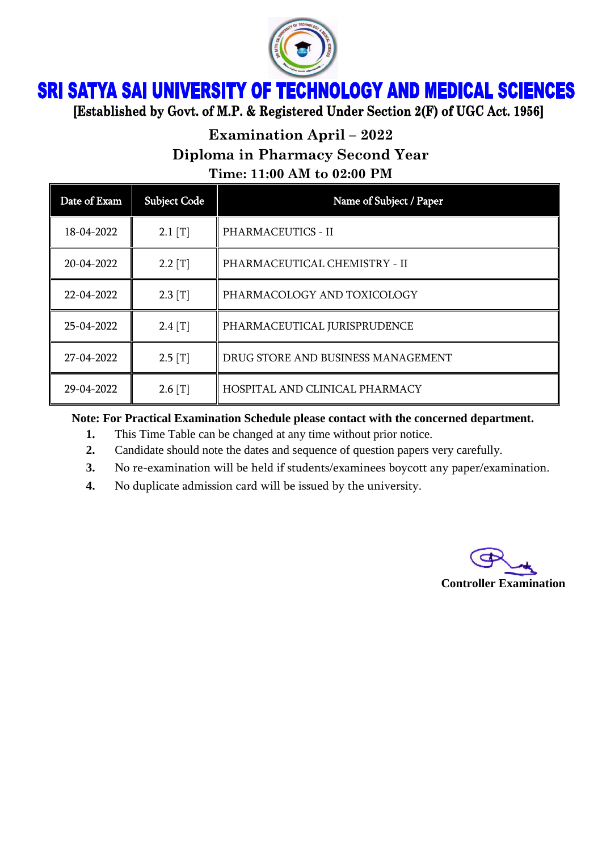

## SRI SATYA SAI UNIVERSITY OF TECHNOLOGY AND MEDICAL SCIENCES

[Established by Govt. of M.P. & Registered Under Section 2(F) of UGC Act. 1956]

## **Examination April – 2022 Diploma in Pharmacy Second Year Time: 11:00 AM to 02:00 PM**

| Date of Exam | <b>Subject Code</b> | Name of Subject / Paper            |
|--------------|---------------------|------------------------------------|
| 18-04-2022   | $2.1$ [T]           | <b>PHARMACEUTICS - II</b>          |
| 20-04-2022   | $2.2$ [T]           | PHARMACEUTICAL CHEMISTRY - II      |
| 22-04-2022   | $2.3$ [T]           | PHARMACOLOGY AND TOXICOLOGY        |
| 25-04-2022   | $2.4$ [T]           | PHARMACEUTICAL JURISPRUDENCE       |
| 27-04-2022   | $2.5$ [T]           | DRUG STORE AND BUSINESS MANAGEMENT |
| 29-04-2022   | $2.6$ [T]           | HOSPITAL AND CLINICAL PHARMACY     |

**Note: For Practical Examination Schedule please contact with the concerned department.**

- **1.** This Time Table can be changed at any time without prior notice.
- **2.** Candidate should note the dates and sequence of question papers very carefully.
- **3.** No re-examination will be held if students/examinees boycott any paper/examination.
- **4.** No duplicate admission card will be issued by the university.

**Controller Examination**